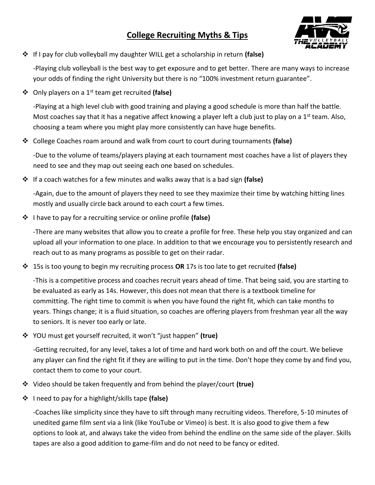## **College Recruiting Myths & Tips**



If I pay for club volleyball my daughter WILL get a scholarship in return **(false)**

-Playing club volleyball is the best way to get exposure and to get better. There are many ways to increase your odds of finding the right University but there is no "100% investment return guarantee".

Only players on a 1st team get recruited **(false)**

-Playing at a high level club with good training and playing a good schedule is more than half the battle. Most coaches say that it has a negative affect knowing a player left a club just to play on a 1<sup>st</sup> team. Also, choosing a team where you might play more consistently can have huge benefits.

College Coaches roam around and walk from court to court during tournaments **(false)**

-Due to the volume of teams/players playing at each tournament most coaches have a list of players they need to see and they map out seeing each one based on schedules.

If a coach watches for a few minutes and walks away that is a bad sign **(false)**

-Again, due to the amount of players they need to see they maximize their time by watching hitting lines mostly and usually circle back around to each court a few times.

I have to pay for a recruiting service or online profile **(false)**

-There are many websites that allow you to create a profile for free. These help you stay organized and can upload all your information to one place. In addition to that we encourage you to persistently research and reach out to as many programs as possible to get on their radar.

15s is too young to begin my recruiting process **OR** 17s is too late to get recruited **(false)**

-This is a competitive process and coaches recruit years ahead of time. That being said, you are starting to be evaluated as early as 14s. However, this does not mean that there is a textbook timeline for committing. The right time to commit is when you have found the right fit, which can take months to years. Things change; it is a fluid situation, so coaches are offering players from freshman year all the way to seniors. It is never too early or late.

YOU must get yourself recruited, it won't "just happen" **(true)**

-Getting recruited, for any level, takes a lot of time and hard work both on and off the court. We believe any player can find the right fit if they are willing to put in the time. Don't hope they come by and find you, contact them to come to your court.

- Video should be taken frequently and from behind the player/court **(true)**
- I need to pay for a highlight/skills tape **(false)**

-Coaches like simplicity since they have to sift through many recruiting videos. Therefore, 5-10 minutes of unedited game film sent via a link (like YouTube or Vimeo) is best. It is also good to give them a few options to look at, and always take the video from behind the endline on the same side of the player. Skills tapes are also a good addition to game-film and do not need to be fancy or edited.